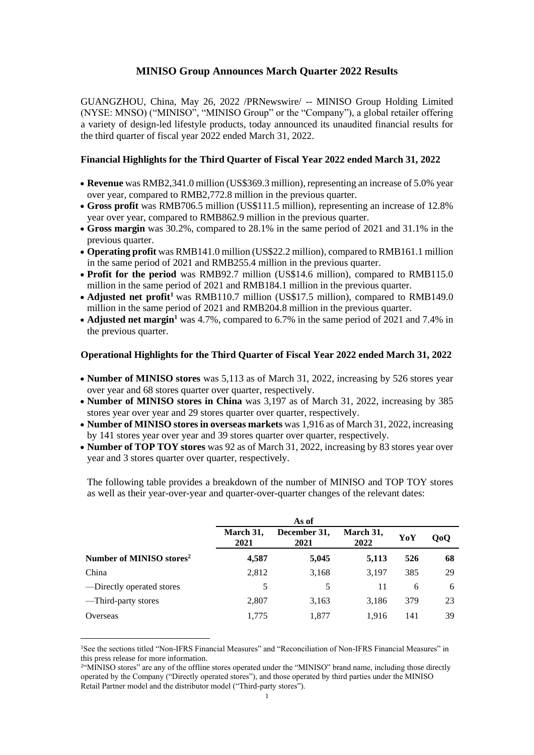## **MINISO Group Announces March Quarter 2022 Results**

GUANGZHOU, China, May 26, 2022 /PRNewswire/ -- MINISO Group Holding Limited (NYSE: MNSO) ("MINISO", "MINISO Group" or the "Company"), a global retailer offering a variety of design-led lifestyle products, today announced its unaudited financial results for the third quarter of fiscal year 2022 ended March 31, 2022.

### **Financial Highlights for the Third Quarter of Fiscal Year 2022 ended March 31, 2022**

- **Revenue** was RMB2,341.0 million (US\$369.3 million), representing an increase of 5.0% year over year, compared to RMB2,772.8 million in the previous quarter.
- **Gross profit** was RMB706.5 million (US\$111.5 million), representing an increase of 12.8% year over year, compared to RMB862.9 million in the previous quarter.
- **Gross margin** was 30.2%, compared to 28.1% in the same period of 2021 and 31.1% in the previous quarter.
- **Operating profit** was RMB141.0 million (US\$22.2 million), compared to RMB161.1 million in the same period of 2021 and RMB255.4 million in the previous quarter.
- **Profit for the period** was RMB92.7 million (US\$14.6 million), compared to RMB115.0 million in the same period of 2021 and RMB184.1 million in the previous quarter.
- **Adjusted net profit<sup>1</sup>** was RMB110.7 million (US\$17.5 million), compared to RMB149.0 million in the same period of 2021 and RMB204.8 million in the previous quarter.
- **Adjusted net margin<sup>1</sup>** was 4.7%, compared to 6.7% in the same period of 2021 and 7.4% in the previous quarter.

### **Operational Highlights for the Third Quarter of Fiscal Year 2022 ended March 31, 2022**

- **Number of MINISO stores** was 5,113 as of March 31, 2022, increasing by 526 stores year over year and 68 stores quarter over quarter, respectively.
- **Number of MINISO stores in China** was 3,197 as of March 31, 2022, increasing by 385 stores year over year and 29 stores quarter over quarter, respectively.
- **Number of MINISO stores in overseas markets** was 1,916 as of March 31, 2022, increasing by 141 stores year over year and 39 stores quarter over quarter, respectively.
- **Number of TOP TOY stores** was 92 as of March 31, 2022, increasing by 83 stores year over year and 3 stores quarter over quarter, respectively.

The following table provides a breakdown of the number of MINISO and TOP TOY stores as well as their year-over-year and quarter-over-quarter changes of the relevant dates:

|                                      | As of             |                      |                   |     |                  |
|--------------------------------------|-------------------|----------------------|-------------------|-----|------------------|
|                                      | March 31,<br>2021 | December 31,<br>2021 | March 31,<br>2022 | YoY | Q <sub>0</sub> Q |
| Number of MINISO stores <sup>2</sup> | 4,587             | 5,045                | 5,113             | 526 | 68               |
| China                                | 2,812             | 3,168                | 3.197             | 385 | 29               |
| -Directly operated stores            | 5                 | 5                    | 11                | 6   | 6                |
| -Third-party stores                  | 2,807             | 3,163                | 3,186             | 379 | 23               |
| Overseas                             | 1,775             | 1,877                | 1,916             | 141 | 39               |

<sup>&</sup>lt;sup>1</sup>See the sections titled "Non-IFRS Financial Measures" and "Reconciliation of Non-IFRS Financial Measures" in this press release for more information.

<sup>&</sup>lt;sup>2"</sup>MINISO stores" are any of the offline stores operated under the "MINISO" brand name, including those directly operated by the Company ("Directly operated stores"), and those operated by third parties under the MINISO Retail Partner model and the distributor model ("Third-party stores").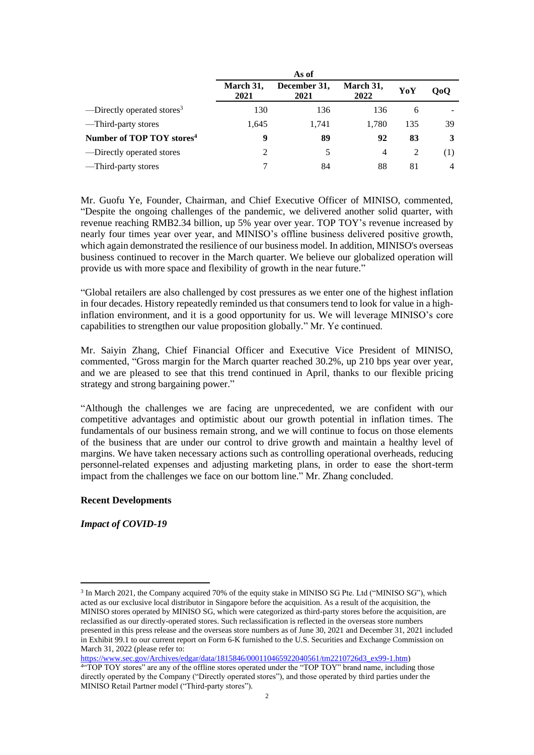|                                        | March 31,<br>2021 | December 31,<br>2021 | March 31,<br>2022 | YoY            | 000 |
|----------------------------------------|-------------------|----------------------|-------------------|----------------|-----|
| —Directly operated stores <sup>3</sup> | 130               | 136                  | 136               | 6              |     |
| —Third-party stores                    | 1.645             | 1.741                | 1.780             | 135            | 39  |
| Number of TOP TOY stores <sup>4</sup>  | 9                 | 89                   | 92                | 83             | 3   |
| —Directly operated stores              | 2                 | 5                    | 4                 | $\overline{2}$ | (1) |
| —Third-party stores                    |                   | 84                   | 88                | 81             | 4   |

Mr. Guofu Ye, Founder, Chairman, and Chief Executive Officer of MINISO, commented, "Despite the ongoing challenges of the pandemic, we delivered another solid quarter, with revenue reaching RMB2.34 billion, up 5% year over year. TOP TOY's revenue increased by nearly four times year over year, and MINISO's offline business delivered positive growth, which again demonstrated the resilience of our business model. In addition, MINISO's overseas business continued to recover in the March quarter. We believe our globalized operation will provide us with more space and flexibility of growth in the near future."

"Global retailers are also challenged by cost pressures as we enter one of the highest inflation in four decades. History repeatedly reminded us that consumers tend to look for value in a highinflation environment, and it is a good opportunity for us. We will leverage MINISO's core capabilities to strengthen our value proposition globally." Mr. Ye continued.

Mr. Saiyin Zhang, Chief Financial Officer and Executive Vice President of MINISO, commented, "Gross margin for the March quarter reached 30.2%, up 210 bps year over year, and we are pleased to see that this trend continued in April, thanks to our flexible pricing strategy and strong bargaining power."

"Although the challenges we are facing are unprecedented, we are confident with our competitive advantages and optimistic about our growth potential in inflation times. The fundamentals of our business remain strong, and we will continue to focus on those elements of the business that are under our control to drive growth and maintain a healthy level of margins. We have taken necessary actions such as controlling operational overheads, reducing personnel-related expenses and adjusting marketing plans, in order to ease the short-term impact from the challenges we face on our bottom line." Mr. Zhang concluded.

### **Recent Developments**

*Impact of COVID-19*

[https://www.sec.gov/Archives/edgar/data/1815846/000110465922040561/tm2210726d3\\_ex99-1.htm\)](https://www.sec.gov/Archives/edgar/data/1815846/000110465922040561/tm2210726d3_ex99-1.htm)

<sup>&</sup>lt;sup>3</sup> In March 2021, the Company acquired 70% of the equity stake in MINISO SG Pte. Ltd ("MINISO SG"), which acted as our exclusive local distributor in Singapore before the acquisition. As a result of the acquisition, the MINISO stores operated by MINISO SG, which were categorized as third-party stores before the acquisition, are reclassified as our directly-operated stores. Such reclassification is reflected in the overseas store numbers presented in this press release and the overseas store numbers as of June 30, 2021 and December 31, 2021 included in Exhibit 99.1 to our current report on Form 6-K furnished to the U.S. Securities and Exchange Commission on March 31, 2022 (please refer to:

<sup>4</sup> "TOP TOY stores" are any of the offline stores operated under the "TOP TOY" brand name, including those directly operated by the Company ("Directly operated stores"), and those operated by third parties under the MINISO Retail Partner model ("Third-party stores").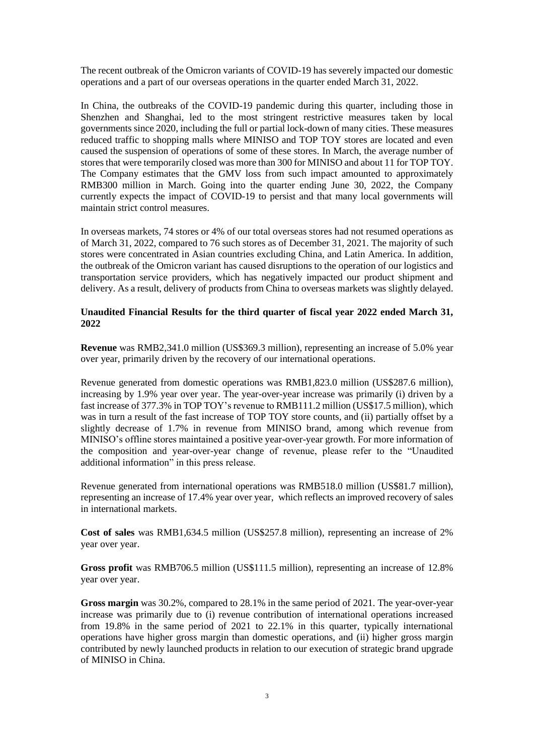The recent outbreak of the Omicron variants of COVID-19 has severely impacted our domestic operations and a part of our overseas operations in the quarter ended March 31, 2022.

In China, the outbreaks of the COVID-19 pandemic during this quarter, including those in Shenzhen and Shanghai, led to the most stringent restrictive measures taken by local governments since 2020, including the full or partial lock-down of many cities. These measures reduced traffic to shopping malls where MINISO and TOP TOY stores are located and even caused the suspension of operations of some of these stores. In March, the average number of stores that were temporarily closed was more than 300 for MINISO and about 11 for TOP TOY. The Company estimates that the GMV loss from such impact amounted to approximately RMB300 million in March. Going into the quarter ending June 30, 2022, the Company currently expects the impact of COVID-19 to persist and that many local governments will maintain strict control measures.

In overseas markets, 74 stores or 4% of our total overseas stores had not resumed operations as of March 31, 2022, compared to 76 such stores as of December 31, 2021. The majority of such stores were concentrated in Asian countries excluding China, and Latin America. In addition, the outbreak of the Omicron variant has caused disruptions to the operation of our logistics and transportation service providers, which has negatively impacted our product shipment and delivery. As a result, delivery of products from China to overseas markets was slightly delayed.

## **Unaudited Financial Results for the third quarter of fiscal year 2022 ended March 31, 2022**

**Revenue** was RMB2,341.0 million (US\$369.3 million), representing an increase of 5.0% year over year, primarily driven by the recovery of our international operations.

Revenue generated from domestic operations was RMB1,823.0 million (US\$287.6 million), increasing by 1.9% year over year. The year-over-year increase was primarily (i) driven by a fast increase of 377.3% in TOP TOY's revenue to RMB111.2 million (US\$17.5 million), which was in turn a result of the fast increase of TOP TOY store counts, and (ii) partially offset by a slightly decrease of 1.7% in revenue from MINISO brand, among which revenue from MINISO's offline stores maintained a positive year-over-year growth. For more information of the composition and year-over-year change of revenue, please refer to the "Unaudited additional information" in this press release.

Revenue generated from international operations was RMB518.0 million (US\$81.7 million), representing an increase of 17.4% year over year, which reflects an improved recovery of sales in international markets.

**Cost of sales** was RMB1,634.5 million (US\$257.8 million), representing an increase of 2% year over year.

**Gross profit** was RMB706.5 million (US\$111.5 million), representing an increase of 12.8% year over year.

**Gross margin** was 30.2%, compared to 28.1% in the same period of 2021. The year-over-year increase was primarily due to (i) revenue contribution of international operations increased from 19.8% in the same period of 2021 to 22.1% in this quarter, typically international operations have higher gross margin than domestic operations, and (ii) higher gross margin contributed by newly launched products in relation to our execution of strategic brand upgrade of MINISO in China.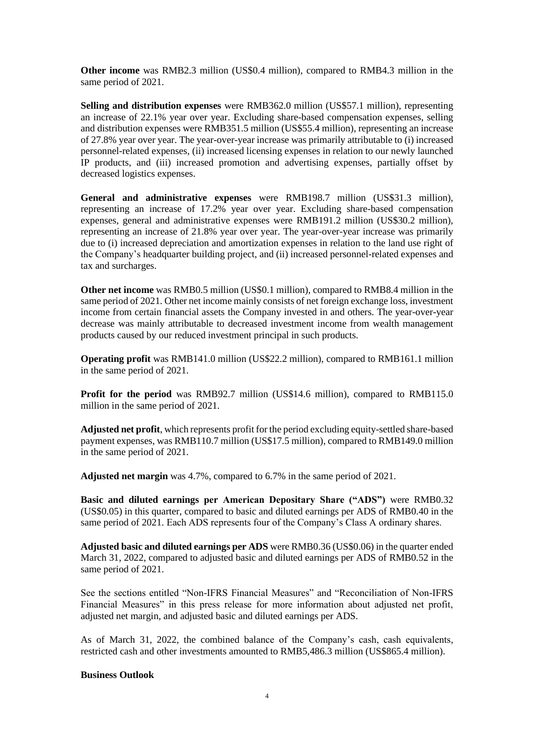**Other income** was RMB2.3 million (US\$0.4 million), compared to RMB4.3 million in the same period of 2021.

**Selling and distribution expenses** were RMB362.0 million (US\$57.1 million), representing an increase of 22.1% year over year. Excluding share-based compensation expenses, selling and distribution expenses were RMB351.5 million (US\$55.4 million), representing an increase of 27.8% year over year. The year-over-year increase was primarily attributable to (i) increased personnel-related expenses, (ii) increased licensing expenses in relation to our newly launched IP products, and (iii) increased promotion and advertising expenses, partially offset by decreased logistics expenses.

**General and administrative expenses** were RMB198.7 million (US\$31.3 million), representing an increase of 17.2% year over year. Excluding share-based compensation expenses, general and administrative expenses were RMB191.2 million (US\$30.2 million), representing an increase of 21.8% year over year. The year-over-year increase was primarily due to (i) increased depreciation and amortization expenses in relation to the land use right of the Company's headquarter building project, and (ii) increased personnel-related expenses and tax and surcharges.

**Other net income** was RMB0.5 million (US\$0.1 million), compared to RMB8.4 million in the same period of 2021. Other net income mainly consists of net foreign exchange loss, investment income from certain financial assets the Company invested in and others. The year-over-year decrease was mainly attributable to decreased investment income from wealth management products caused by our reduced investment principal in such products.

**Operating profit** was RMB141.0 million (US\$22.2 million), compared to RMB161.1 million in the same period of 2021.

**Profit for the period** was RMB92.7 million (US\$14.6 million), compared to RMB115.0 million in the same period of 2021.

**Adjusted net profit**, which represents profit for the period excluding equity-settled share-based payment expenses, was RMB110.7 million (US\$17.5 million), compared to RMB149.0 million in the same period of 2021.

**Adjusted net margin** was 4.7%, compared to 6.7% in the same period of 2021.

**Basic and diluted earnings per American Depositary Share ("ADS")** were RMB0.32 (US\$0.05) in this quarter, compared to basic and diluted earnings per ADS of RMB0.40 in the same period of 2021. Each ADS represents four of the Company's Class A ordinary shares.

**Adjusted basic and diluted earnings per ADS** were RMB0.36 (US\$0.06) in the quarter ended March 31, 2022, compared to adjusted basic and diluted earnings per ADS of RMB0.52 in the same period of 2021.

See the sections entitled "Non-IFRS Financial Measures" and "Reconciliation of Non-IFRS Financial Measures" in this press release for more information about adjusted net profit, adjusted net margin, and adjusted basic and diluted earnings per ADS.

As of March 31, 2022, the combined balance of the Company's cash, cash equivalents, restricted cash and other investments amounted to RMB5,486.3 million (US\$865.4 million).

### **Business Outlook**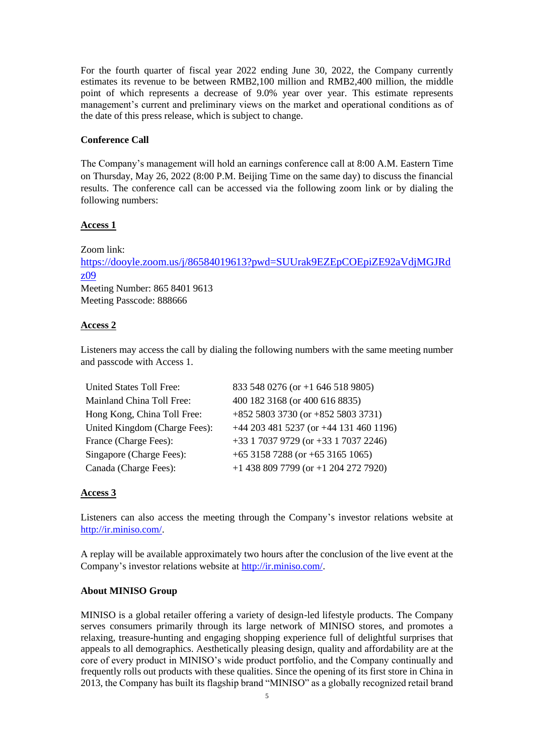For the fourth quarter of fiscal year 2022 ending June 30, 2022, the Company currently estimates its revenue to be between RMB2,100 million and RMB2,400 million, the middle point of which represents a decrease of 9.0% year over year. This estimate represents management's current and preliminary views on the market and operational conditions as of the date of this press release, which is subject to change.

## **Conference Call**

The Company's management will hold an earnings conference call at 8:00 A.M. Eastern Time on Thursday, May 26, 2022 (8:00 P.M. Beijing Time on the same day) to discuss the financial results. The conference call can be accessed via the following zoom link or by dialing the following numbers:

### **Access 1**

Zoom link: [https://dooyle.zoom.us/j/86584019613?pwd=SUUrak9EZEpCOEpiZE92aVdjMGJRd](https://dooyle.zoom.us/j/86584019613?pwd=SUUrak9EZEpCOEpiZE92aVdjMGJRdz09) [z09](https://dooyle.zoom.us/j/86584019613?pwd=SUUrak9EZEpCOEpiZE92aVdjMGJRdz09) Meeting Number: 865 8401 9613 Meeting Passcode: 888666

## **Access 2**

Listeners may access the call by dialing the following numbers with the same meeting number and passcode with Access 1.

| <b>United States Toll Free:</b> | 833 548 0276 (or +1 646 518 9805)        |
|---------------------------------|------------------------------------------|
| Mainland China Toll Free:       | 400 182 3168 (or 400 616 8835)           |
| Hong Kong, China Toll Free:     | $+852$ 5803 3730 (or $+852$ 5803 3731)   |
| United Kingdom (Charge Fees):   | +44 203 481 5237 (or +44 131 460 1196)   |
| France (Charge Fees):           | +33 1 7037 9729 (or +33 1 7037 2246)     |
| Singapore (Charge Fees):        | +65 3158 7288 (or +65 3165 1065)         |
| Canada (Charge Fees):           | $+1$ 438 809 7799 (or $+1$ 204 272 7920) |

## **Access 3**

Listeners can also access the meeting through the Company's investor relations website at [http://ir.miniso.com/.](http://ir.miniso.com/)

A replay will be available approximately two hours after the conclusion of the live event at the Company's investor relations website at [http://ir.miniso.com/.](http://ir.miniso.com/)

### **About MINISO Group**

MINISO is a global retailer offering a variety of design-led lifestyle products. The Company serves consumers primarily through its large network of MINISO stores, and promotes a relaxing, treasure-hunting and engaging shopping experience full of delightful surprises that appeals to all demographics. Aesthetically pleasing design, quality and affordability are at the core of every product in MINISO's wide product portfolio, and the Company continually and frequently rolls out products with these qualities. Since the opening of its first store in China in 2013, the Company has built its flagship brand "MINISO" as a globally recognized retail brand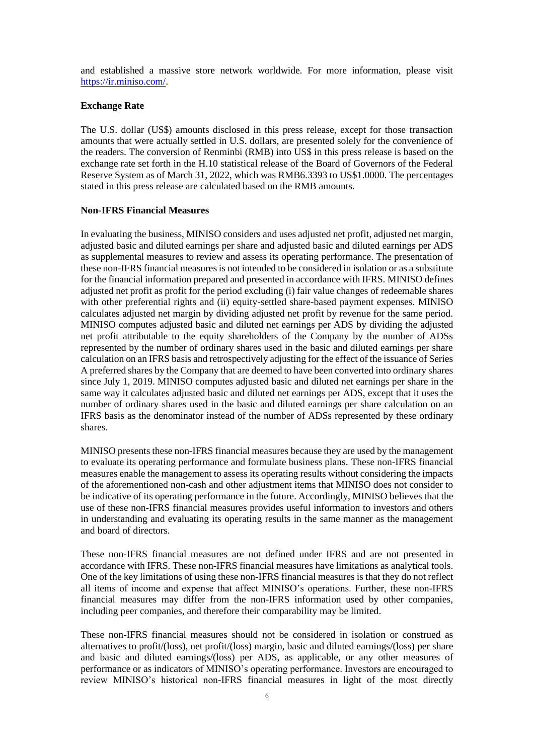and established a massive store network worldwide. For more information, please visit [https://ir.miniso.com/.](https://ir.miniso.com/)

## **Exchange Rate**

The U.S. dollar (US\$) amounts disclosed in this press release, except for those transaction amounts that were actually settled in U.S. dollars, are presented solely for the convenience of the readers. The conversion of Renminbi (RMB) into US\$ in this press release is based on the exchange rate set forth in the H.10 statistical release of the Board of Governors of the Federal Reserve System as of March 31, 2022, which was RMB6.3393 to US\$1.0000. The percentages stated in this press release are calculated based on the RMB amounts.

## **Non-IFRS Financial Measures**

In evaluating the business, MINISO considers and uses adjusted net profit, adjusted net margin, adjusted basic and diluted earnings per share and adjusted basic and diluted earnings per ADS as supplemental measures to review and assess its operating performance. The presentation of these non-IFRS financial measures is not intended to be considered in isolation or as a substitute for the financial information prepared and presented in accordance with IFRS. MINISO defines adjusted net profit as profit for the period excluding (i) fair value changes of redeemable shares with other preferential rights and (ii) equity-settled share-based payment expenses. MINISO calculates adjusted net margin by dividing adjusted net profit by revenue for the same period. MINISO computes adjusted basic and diluted net earnings per ADS by dividing the adjusted net profit attributable to the equity shareholders of the Company by the number of ADSs represented by the number of ordinary shares used in the basic and diluted earnings per share calculation on an IFRS basis and retrospectively adjusting for the effect of the issuance of Series A preferred shares by the Company that are deemed to have been converted into ordinary shares since July 1, 2019. MINISO computes adjusted basic and diluted net earnings per share in the same way it calculates adjusted basic and diluted net earnings per ADS, except that it uses the number of ordinary shares used in the basic and diluted earnings per share calculation on an IFRS basis as the denominator instead of the number of ADSs represented by these ordinary shares.

MINISO presents these non-IFRS financial measures because they are used by the management to evaluate its operating performance and formulate business plans. These non-IFRS financial measures enable the management to assess its operating results without considering the impacts of the aforementioned non-cash and other adjustment items that MINISO does not consider to be indicative of its operating performance in the future. Accordingly, MINISO believes that the use of these non-IFRS financial measures provides useful information to investors and others in understanding and evaluating its operating results in the same manner as the management and board of directors.

These non-IFRS financial measures are not defined under IFRS and are not presented in accordance with IFRS. These non-IFRS financial measures have limitations as analytical tools. One of the key limitations of using these non-IFRS financial measures is that they do not reflect all items of income and expense that affect MINISO's operations. Further, these non-IFRS financial measures may differ from the non-IFRS information used by other companies, including peer companies, and therefore their comparability may be limited.

These non-IFRS financial measures should not be considered in isolation or construed as alternatives to profit/(loss), net profit/(loss) margin, basic and diluted earnings/(loss) per share and basic and diluted earnings/(loss) per ADS, as applicable, or any other measures of performance or as indicators of MINISO's operating performance. Investors are encouraged to review MINISO's historical non-IFRS financial measures in light of the most directly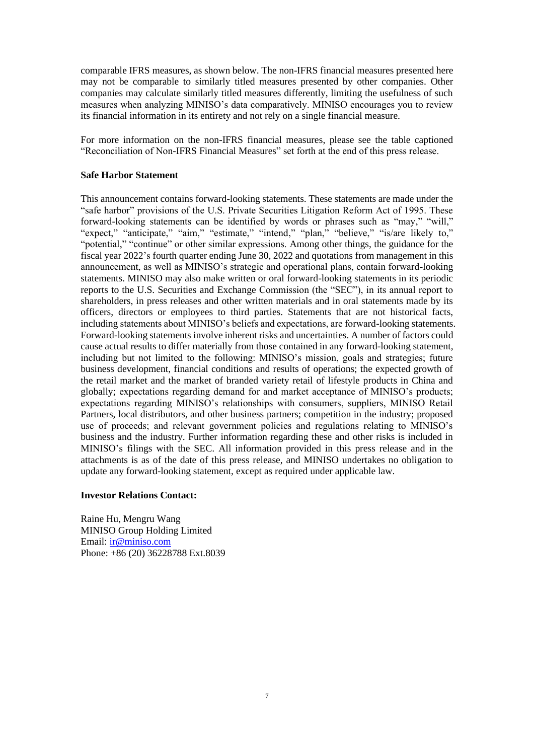comparable IFRS measures, as shown below. The non-IFRS financial measures presented here may not be comparable to similarly titled measures presented by other companies. Other companies may calculate similarly titled measures differently, limiting the usefulness of such measures when analyzing MINISO's data comparatively. MINISO encourages you to review its financial information in its entirety and not rely on a single financial measure.

For more information on the non-IFRS financial measures, please see the table captioned "Reconciliation of Non-IFRS Financial Measures" set forth at the end of this press release.

## **Safe Harbor Statement**

This announcement contains forward-looking statements. These statements are made under the "safe harbor" provisions of the U.S. Private Securities Litigation Reform Act of 1995. These forward-looking statements can be identified by words or phrases such as "may," "will," "expect," "anticipate," "aim," "estimate," "intend," "plan," "believe," "is/are likely to," "potential," "continue" or other similar expressions. Among other things, the guidance for the fiscal year 2022's fourth quarter ending June 30, 2022 and quotations from management in this announcement, as well as MINISO's strategic and operational plans, contain forward-looking statements. MINISO may also make written or oral forward-looking statements in its periodic reports to the U.S. Securities and Exchange Commission (the "SEC"), in its annual report to shareholders, in press releases and other written materials and in oral statements made by its officers, directors or employees to third parties. Statements that are not historical facts, including statements about MINISO's beliefs and expectations, are forward-looking statements. Forward-looking statements involve inherent risks and uncertainties. A number of factors could cause actual results to differ materially from those contained in any forward-looking statement, including but not limited to the following: MINISO's mission, goals and strategies; future business development, financial conditions and results of operations; the expected growth of the retail market and the market of branded variety retail of lifestyle products in China and globally; expectations regarding demand for and market acceptance of MINISO's products; expectations regarding MINISO's relationships with consumers, suppliers, MINISO Retail Partners, local distributors, and other business partners; competition in the industry; proposed use of proceeds; and relevant government policies and regulations relating to MINISO's business and the industry. Further information regarding these and other risks is included in MINISO's filings with the SEC. All information provided in this press release and in the attachments is as of the date of this press release, and MINISO undertakes no obligation to update any forward-looking statement, except as required under applicable law.

### **Investor Relations Contact:**

Raine Hu, Mengru Wang MINISO Group Holding Limited Email: [ir@miniso.com](mailto:ir@miniso.com) Phone: +86 (20) 36228788 Ext.8039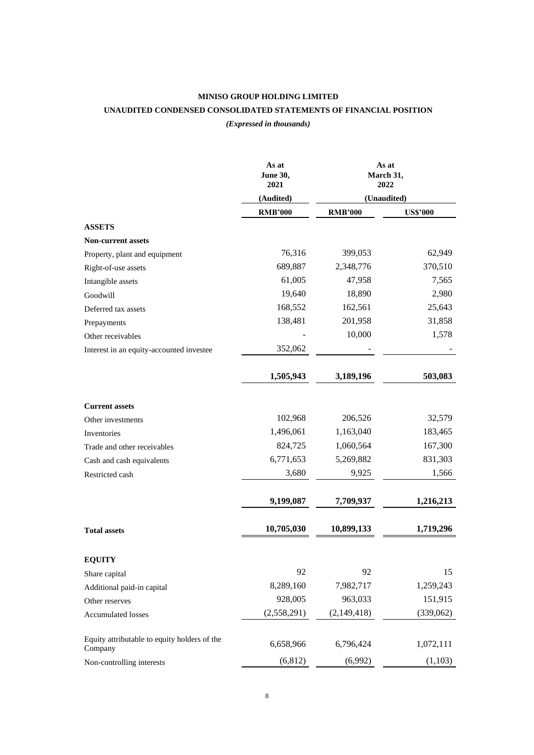# **MINISO GROUP HOLDING LIMITED UNAUDITED CONDENSED CONSOLIDATED STATEMENTS OF FINANCIAL POSITION**

*(Expressed in thousands)*

|                                                         | As at<br>June 30,<br>2021 | As at<br>March 31,<br>2022 |                 |
|---------------------------------------------------------|---------------------------|----------------------------|-----------------|
|                                                         | (Audited)                 | (Unaudited)                |                 |
|                                                         | <b>RMB'000</b>            | <b>RMB'000</b>             | <b>US\$'000</b> |
| <b>ASSETS</b>                                           |                           |                            |                 |
| <b>Non-current assets</b>                               |                           |                            |                 |
| Property, plant and equipment                           | 76,316                    | 399,053                    | 62,949          |
| Right-of-use assets                                     | 689,887                   | 2,348,776                  | 370,510         |
| Intangible assets                                       | 61,005                    | 47,958                     | 7,565           |
| Goodwill                                                | 19,640                    | 18,890                     | 2,980           |
| Deferred tax assets                                     | 168,552                   | 162,561                    | 25,643          |
| Prepayments                                             | 138,481                   | 201,958                    | 31,858          |
| Other receivables                                       |                           | 10,000                     | 1,578           |
| Interest in an equity-accounted investee                | 352,062                   |                            |                 |
|                                                         | 1,505,943                 | 3,189,196                  | 503,083         |
| <b>Current assets</b>                                   |                           |                            |                 |
| Other investments                                       | 102,968                   | 206,526                    | 32,579          |
| Inventories                                             | 1,496,061                 | 1,163,040                  | 183,465         |
| Trade and other receivables                             | 824,725                   | 1,060,564                  | 167,300         |
| Cash and cash equivalents                               | 6,771,653                 | 5,269,882                  | 831,303         |
| Restricted cash                                         | 3,680                     | 9,925                      | 1,566           |
|                                                         | 9,199,087                 | 7,709,937                  | 1,216,213       |
| <b>Total assets</b>                                     | 10,705,030                | 10,899,133                 | 1,719,296       |
| <b>EQUITY</b>                                           |                           |                            |                 |
| Share capital                                           | 92                        | 92                         | 15              |
| Additional paid-in capital                              | 8,289,160                 | 7,982,717                  | 1,259,243       |
| Other reserves                                          | 928,005                   | 963,033                    | 151,915         |
| <b>Accumulated losses</b>                               | (2,558,291)               | (2,149,418)                | (339,062)       |
| Equity attributable to equity holders of the<br>Company | 6,658,966                 | 6,796,424                  | 1,072,111       |
| Non-controlling interests                               | (6, 812)                  | (6,992)                    | (1,103)         |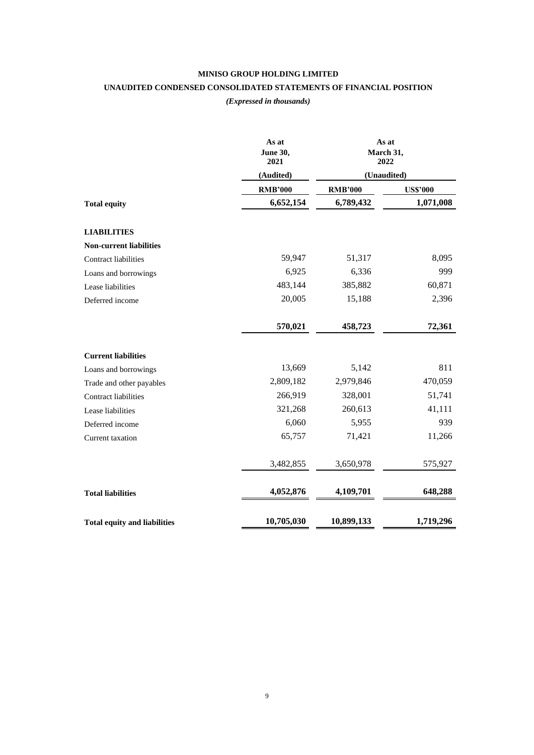# **MINISO GROUP HOLDING LIMITED UNAUDITED CONDENSED CONSOLIDATED STATEMENTS OF FINANCIAL POSITION**

## *(Expressed in thousands)*

|                                     | As at<br><b>June 30,</b><br>2021 | As at<br>March 31,<br>2022 |                 |  |  |
|-------------------------------------|----------------------------------|----------------------------|-----------------|--|--|
|                                     | (Audited)                        | (Unaudited)                |                 |  |  |
|                                     | <b>RMB'000</b>                   | <b>RMB'000</b>             | <b>US\$'000</b> |  |  |
| <b>Total equity</b>                 | 6,652,154                        | 6,789,432                  | 1,071,008       |  |  |
| <b>LIABILITIES</b>                  |                                  |                            |                 |  |  |
| <b>Non-current liabilities</b>      |                                  |                            |                 |  |  |
| Contract liabilities                | 59,947                           | 51,317                     | 8,095           |  |  |
| Loans and borrowings                | 6,925                            | 6,336                      | 999             |  |  |
| Lease liabilities                   | 483,144                          | 385,882                    | 60,871          |  |  |
| Deferred income                     | 20,005                           | 15,188                     | 2,396           |  |  |
|                                     | 570,021                          | 458,723                    | 72,361          |  |  |
| <b>Current liabilities</b>          |                                  |                            |                 |  |  |
| Loans and borrowings                | 13,669                           | 5,142                      | 811             |  |  |
| Trade and other payables            | 2,809,182                        | 2,979,846                  | 470,059         |  |  |
| Contract liabilities                | 266,919                          | 328,001                    | 51,741          |  |  |
| Lease liabilities                   | 321,268                          | 260,613                    | 41,111          |  |  |
| Deferred income                     | 6,060                            | 5,955                      | 939             |  |  |
| Current taxation                    | 65,757                           | 71,421                     | 11,266          |  |  |
|                                     | 3,482,855                        | 3,650,978                  | 575,927         |  |  |
| <b>Total liabilities</b>            | 4,052,876                        | 4,109,701                  | 648,288         |  |  |
| <b>Total equity and liabilities</b> | 10,705,030                       | 10,899,133                 | 1,719,296       |  |  |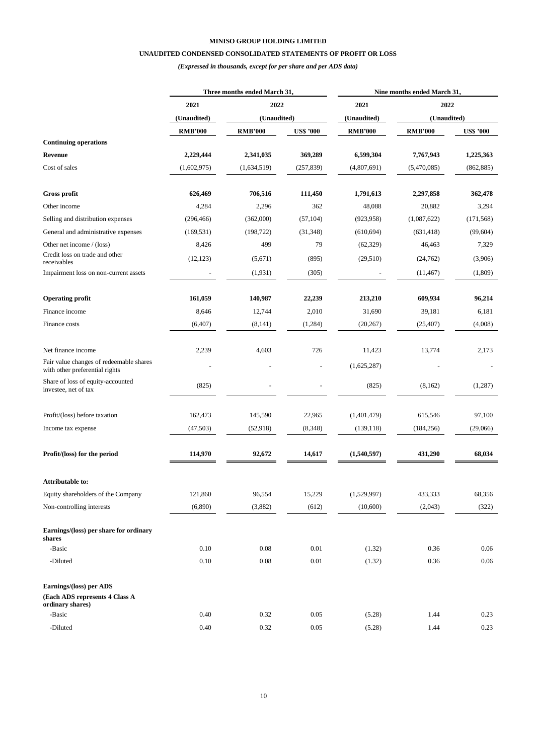## **UNAUDITED CONDENSED CONSOLIDATED STATEMENTS OF PROFIT OR LOSS**

*(Expressed in thousands, except for per share and per ADS data)*

|                                                                           | Three months ended March 31, |                |                  | Nine months ended March 31, |                |                  |  |
|---------------------------------------------------------------------------|------------------------------|----------------|------------------|-----------------------------|----------------|------------------|--|
|                                                                           | 2021                         | 2022           |                  | 2021                        |                | 2022             |  |
|                                                                           | (Unaudited)                  | (Unaudited)    |                  | (Unaudited)                 | (Unaudited)    |                  |  |
|                                                                           | <b>RMB'000</b>               | <b>RMB'000</b> | <b>US\$ '000</b> | <b>RMB'000</b>              | <b>RMB'000</b> | <b>US\$ '000</b> |  |
| <b>Continuing operations</b>                                              |                              |                |                  |                             |                |                  |  |
| <b>Revenue</b>                                                            | 2,229,444                    | 2,341,035      | 369,289          | 6,599,304                   | 7,767,943      | 1,225,363        |  |
| Cost of sales                                                             | (1,602,975)                  | (1,634,519)    | (257, 839)       | (4,807,691)                 | (5,470,085)    | (862, 885)       |  |
| Gross profit                                                              | 626,469                      | 706,516        | 111,450          | 1,791,613                   | 2,297,858      | 362,478          |  |
| Other income                                                              | 4,284                        | 2,296          | 362              | 48,088                      | 20,882         | 3,294            |  |
| Selling and distribution expenses                                         | (296, 466)                   | (362,000)      | (57, 104)        | (923, 958)                  | (1,087,622)    | (171, 568)       |  |
| General and administrative expenses                                       | (169, 531)                   | (198, 722)     | (31, 348)        | (610, 694)                  | (631, 418)     | (99, 604)        |  |
| Other net income / (loss)                                                 | 8,426                        | 499            | 79               | (62, 329)                   | 46,463         | 7,329            |  |
| Credit loss on trade and other<br>receivables                             | (12, 123)                    | (5,671)        | (895)            | (29,510)                    | (24, 762)      | (3,906)          |  |
| Impairment loss on non-current assets                                     |                              | (1,931)        | (305)            |                             | (11, 467)      | (1,809)          |  |
| <b>Operating profit</b>                                                   | 161,059                      | 140,987        | 22,239           | 213,210                     | 609,934        | 96,214           |  |
| Finance income                                                            | 8,646                        | 12,744         | 2,010            | 31,690                      | 39,181         | 6,181            |  |
| Finance costs                                                             | (6,407)                      | (8,141)        | (1,284)          | (20, 267)                   | (25, 407)      | (4,008)          |  |
| Net finance income                                                        | 2,239                        | 4,603          | 726              | 11,423                      | 13,774         | 2,173            |  |
| Fair value changes of redeemable shares<br>with other preferential rights |                              |                |                  | (1,625,287)                 |                |                  |  |
| Share of loss of equity-accounted<br>investee, net of tax                 | (825)                        |                |                  | (825)                       | (8,162)        | (1,287)          |  |
| Profit/(loss) before taxation                                             | 162,473                      | 145,590        | 22,965           | (1,401,479)                 | 615,546        | 97,100           |  |
| Income tax expense                                                        | (47,503)                     | (52,918)       | (8,348)          | (139, 118)                  | (184, 256)     | (29,066)         |  |
| Profit/(loss) for the period                                              | 114,970                      | 92,672         | 14,617           | (1,540,597)                 | 431,290        | 68,034           |  |
| <b>Attributable to:</b>                                                   |                              |                |                  |                             |                |                  |  |
| Equity shareholders of the Company                                        | 121,860                      | 96,554         | 15,229           | (1,529,997)                 | 433,333        | 68,356           |  |
| Non-controlling interests                                                 | (6,890)                      | (3,882)        | (612)            | (10,600)                    | (2,043)        | (322)            |  |
| Earnings/(loss) per share for ordinary<br>shares                          |                              |                |                  |                             |                |                  |  |
| -Basic                                                                    | 0.10                         | 0.08           | 0.01             | (1.32)                      | 0.36           | 0.06             |  |
| -Diluted                                                                  | 0.10                         | 0.08           | 0.01             | (1.32)                      | 0.36           | 0.06             |  |
| Earnings/(loss) per ADS                                                   |                              |                |                  |                             |                |                  |  |
| (Each ADS represents 4 Class A<br>ordinary shares)                        |                              |                |                  |                             |                |                  |  |
| -Basic                                                                    | 0.40                         | 0.32           | 0.05             | (5.28)                      | 1.44           | 0.23             |  |
| -Diluted                                                                  | 0.40                         | 0.32           | 0.05             | (5.28)                      | 1.44           | 0.23             |  |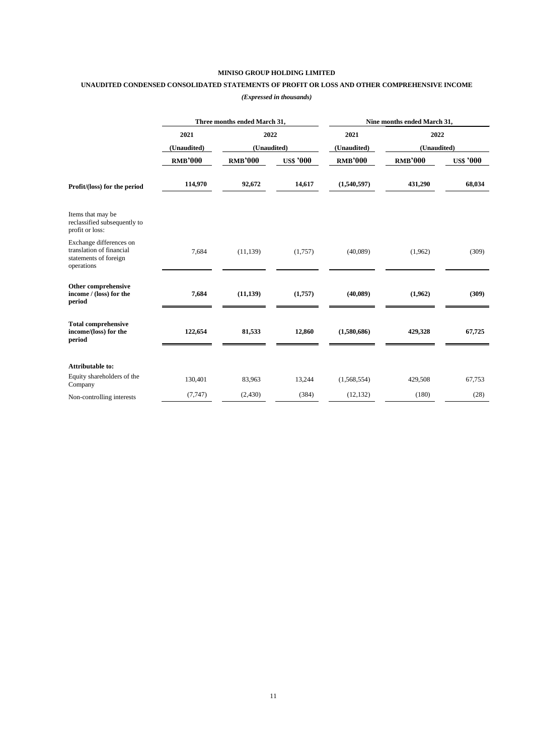## **UNAUDITED CONDENSED CONSOLIDATED STATEMENTS OF PROFIT OR LOSS AND OTHER COMPREHENSIVE INCOME**

|                                                                                            |                | Three months ended March 31, |                  | Nine months ended March 31, |                |                  |  |
|--------------------------------------------------------------------------------------------|----------------|------------------------------|------------------|-----------------------------|----------------|------------------|--|
|                                                                                            | 2021           | 2022                         |                  | 2021                        | 2022           |                  |  |
|                                                                                            | (Unaudited)    | (Unaudited)                  |                  | (Unaudited)                 | (Unaudited)    |                  |  |
|                                                                                            | <b>RMB'000</b> | <b>RMB'000</b>               | <b>US\$ '000</b> | <b>RMB'000</b>              | <b>RMB'000</b> | <b>US\$</b> '000 |  |
| Profit/(loss) for the period                                                               | 114,970        | 92,672                       | 14,617           | (1,540,597)                 | 431,290        | 68,034           |  |
| Items that may be<br>reclassified subsequently to<br>profit or loss:                       |                |                              |                  |                             |                |                  |  |
| Exchange differences on<br>translation of financial<br>statements of foreign<br>operations | 7,684          | (11, 139)                    | (1,757)          | (40,089)                    | (1,962)        | (309)            |  |
| Other comprehensive<br>income / (loss) for the<br>period                                   | 7,684          | (11, 139)                    | (1,757)          | (40,089)                    | (1,962)        | (309)            |  |
| <b>Total comprehensive</b><br>income/(loss) for the<br>period                              | 122,654        | 81,533                       | 12,860           | (1,580,686)                 | 429,328        | 67,725           |  |
| Attributable to:                                                                           |                |                              |                  |                             |                |                  |  |
| Equity shareholders of the<br>Company                                                      | 130,401        | 83,963                       | 13,244           | (1,568,554)                 | 429,508        | 67,753           |  |
| Non-controlling interests                                                                  | (7, 747)       | (2,430)                      | (384)            | (12, 132)                   | (180)          | (28)             |  |

### *(Expressed in thousands)*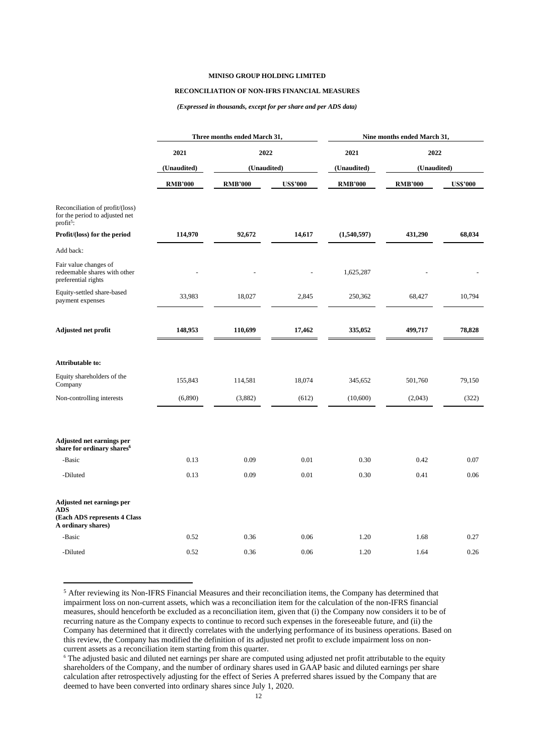### **RECONCILIATION OF NON-IFRS FINANCIAL MEASURES**

#### *(Expressed in thousands, except for per share and per ADS data)*

|                                                                                               |                | Three months ended March 31,       |                 | Nine months ended March 31, |                |                 |
|-----------------------------------------------------------------------------------------------|----------------|------------------------------------|-----------------|-----------------------------|----------------|-----------------|
|                                                                                               | 2021           | 2022<br>(Unaudited)<br>(Unaudited) |                 | 2021                        | 2022           |                 |
|                                                                                               |                |                                    |                 | (Unaudited)                 | (Unaudited)    |                 |
|                                                                                               | <b>RMB'000</b> | <b>RMB'000</b>                     | <b>US\$'000</b> | <b>RMB'000</b>              | <b>RMB'000</b> | <b>US\$'000</b> |
| Reconciliation of profit/(loss)<br>for the period to adjusted net<br>$profit5$ :              |                |                                    |                 |                             |                |                 |
| Profit/(loss) for the period                                                                  | 114,970        | 92,672                             | 14,617          | (1,540,597)                 | 431,290        | 68,034          |
| Add back:                                                                                     |                |                                    |                 |                             |                |                 |
| Fair value changes of<br>redeemable shares with other<br>preferential rights                  |                |                                    |                 | 1,625,287                   |                |                 |
| Equity-settled share-based<br>payment expenses                                                | 33,983         | 18,027                             | 2,845           | 250,362                     | 68,427         | 10,794          |
| Adjusted net profit                                                                           | 148,953        | 110,699                            | 17,462          | 335,052                     | 499,717        | 78,828          |
| <b>Attributable to:</b>                                                                       |                |                                    |                 |                             |                |                 |
| Equity shareholders of the<br>Company                                                         | 155,843        | 114,581                            | 18,074          | 345,652                     | 501,760        | 79,150          |
| Non-controlling interests                                                                     | (6,890)        | (3,882)                            | (612)           | (10,600)                    | (2,043)        | (322)           |
| Adjusted net earnings per<br>share for ordinary shares <sup>6</sup>                           |                |                                    |                 |                             |                |                 |
| -Basic                                                                                        | 0.13           | 0.09                               | 0.01            | 0.30                        | 0.42           | 0.07            |
| -Diluted                                                                                      | 0.13           | 0.09                               | 0.01            | 0.30                        | 0.41           | 0.06            |
| Adjusted net earnings per<br><b>ADS</b><br>(Each ADS represents 4 Class<br>A ordinary shares) |                |                                    |                 |                             |                |                 |
| -Basic                                                                                        | 0.52           | 0.36                               | 0.06            | 1.20                        | 1.68           | 0.27            |
| -Diluted                                                                                      | 0.52           | 0.36                               | 0.06            | 1.20                        | 1.64           | 0.26            |

<sup>5</sup> After reviewing its Non-IFRS Financial Measures and their reconciliation items, the Company has determined that impairment loss on non-current assets, which was a reconciliation item for the calculation of the non-IFRS financial measures, should henceforth be excluded as a reconciliation item, given that (i) the Company now considers it to be of recurring nature as the Company expects to continue to record such expenses in the foreseeable future, and (ii) the Company has determined that it directly correlates with the underlying performance of its business operations. Based on this review, the Company has modified the definition of its adjusted net profit to exclude impairment loss on noncurrent assets as a reconciliation item starting from this quarter.

<sup>6</sup> The adjusted basic and diluted net earnings per share are computed using adjusted net profit attributable to the equity shareholders of the Company, and the number of ordinary shares used in GAAP basic and diluted earnings per share calculation after retrospectively adjusting for the effect of Series A preferred shares issued by the Company that are deemed to have been converted into ordinary shares since July 1, 2020.